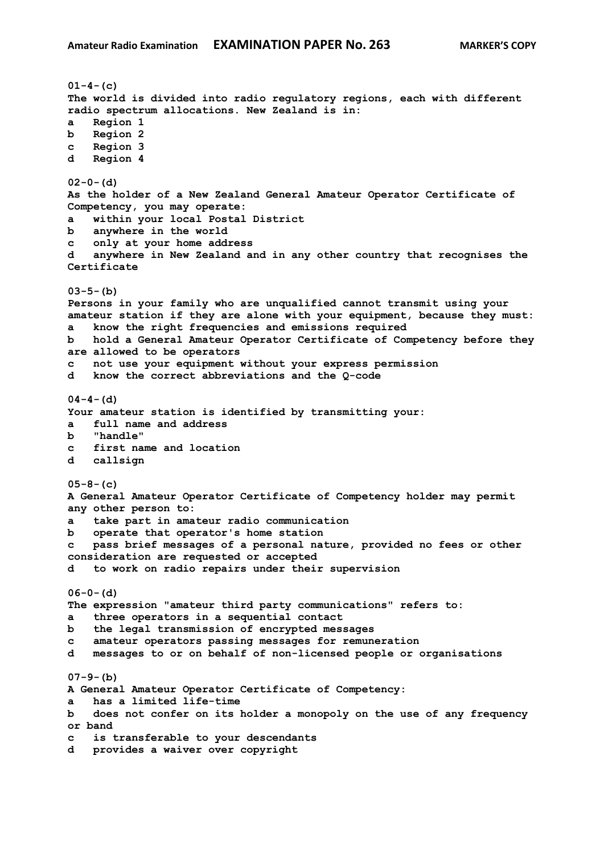**01-4-(c) The world is divided into radio regulatory regions, each with different radio spectrum allocations. New Zealand is in: a Region 1 b Region 2 c Region 3 d Region 4 02-0-(d) As the holder of a New Zealand General Amateur Operator Certificate of Competency, you may operate: a within your local Postal District b anywhere in the world c only at your home address d anywhere in New Zealand and in any other country that recognises the Certificate 03-5-(b) Persons in your family who are unqualified cannot transmit using your amateur station if they are alone with your equipment, because they must: a know the right frequencies and emissions required b hold a General Amateur Operator Certificate of Competency before they are allowed to be operators c not use your equipment without your express permission d know the correct abbreviations and the Q-code 04-4-(d) Your amateur station is identified by transmitting your: a full name and address b "handle" c first name and location d callsign 05-8-(c) A General Amateur Operator Certificate of Competency holder may permit any other person to: a take part in amateur radio communication b operate that operator's home station c pass brief messages of a personal nature, provided no fees or other consideration are requested or accepted d to work on radio repairs under their supervision 06-0-(d) The expression "amateur third party communications" refers to: a three operators in a sequential contact b the legal transmission of encrypted messages c amateur operators passing messages for remuneration d messages to or on behalf of non-licensed people or organisations 07-9-(b) A General Amateur Operator Certificate of Competency: a has a limited life-time b does not confer on its holder a monopoly on the use of any frequency or band c is transferable to your descendants d provides a waiver over copyright**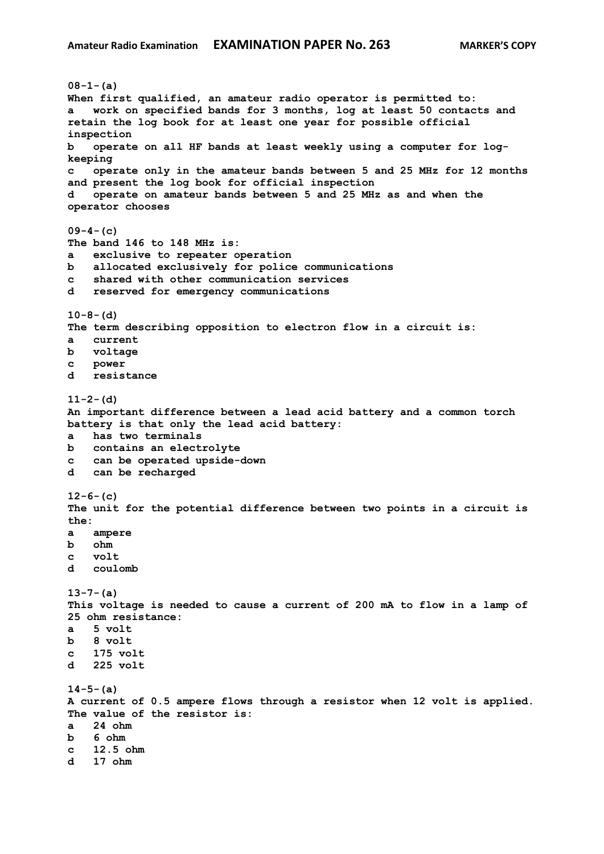```
08-1-(a)
When first qualified, an amateur radio operator is permitted to:
   a work on specified bands for 3 months, log at least 50 contacts and 
retain the log book for at least one year for possible official 
inspection
b operate on all HF bands at least weekly using a computer for log-
keeping
c operate only in the amateur bands between 5 and 25 MHz for 12 months 
and present the log book for official inspection
d operate on amateur bands between 5 and 25 MHz as and when the 
operator chooses
09-4-(c)
The band 146 to 148 MHz is:
a exclusive to repeater operation
b allocated exclusively for police communications
c shared with other communication services
d reserved for emergency communications
10-8-(d)
The term describing opposition to electron flow in a circuit is:
a current
b voltage 
c power
d resistance
11-2-(d)
An important difference between a lead acid battery and a common torch 
battery is that only the lead acid battery:
a has two terminals
b contains an electrolyte
c can be operated upside-down
d can be recharged
12-6-(c)
The unit for the potential difference between two points in a circuit is 
the:
a ampere
b ohm
c volt
d coulomb
13-7-(a)
This voltage is needed to cause a current of 200 mA to flow in a lamp of 
25 ohm resistance:
a 5 volt
b 8 volt 
c 175 volt
d 225 volt 
14-5-(a)
A current of 0.5 ampere flows through a resistor when 12 volt is applied. 
The value of the resistor is:
a 24 ohm
b 6 ohm
c 12.5 ohm
d 17 ohm
```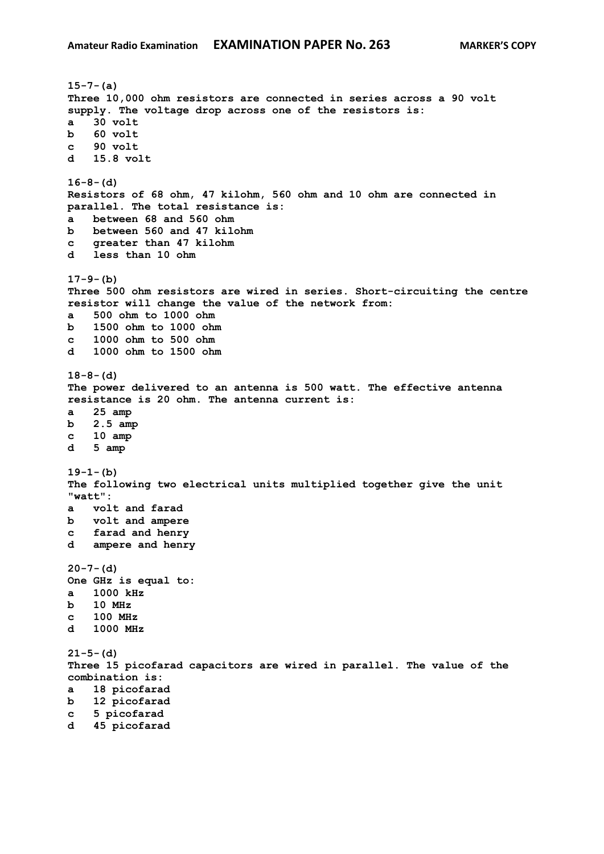```
15-7-(a)
Three 10,000 ohm resistors are connected in series across a 90 volt 
supply. The voltage drop across one of the resistors is:
a 30 volt
b 60 volt 
c 90 volt 
d 15.8 volt
16-8-(d)
Resistors of 68 ohm, 47 kilohm, 560 ohm and 10 ohm are connected in 
parallel. The total resistance is:
a between 68 and 560 ohm
b between 560 and 47 kilohm
c greater than 47 kilohm
d less than 10 ohm
17-9-(b)
Three 500 ohm resistors are wired in series. Short-circuiting the centre 
resistor will change the value of the network from:
a 500 ohm to 1000 ohm
b 1500 ohm to 1000 ohm
c 1000 ohm to 500 ohm
d 1000 ohm to 1500 ohm
18-8-(d)
The power delivered to an antenna is 500 watt. The effective antenna 
resistance is 20 ohm. The antenna current is:
a 25 amp
b 2.5 amp
c 10 amp
d 5 amp
19-1-(b)
The following two electrical units multiplied together give the unit 
"watt":
a volt and farad
b volt and ampere
c farad and henry 
d ampere and henry
20-7-(d)
One GHz is equal to:
a 1000 kHz
b 10 MHz
c 100 MHz
d 1000 MHz
21-5-(d)
Three 15 picofarad capacitors are wired in parallel. The value of the 
combination is:
a 18 picofarad
b 12 picofarad 
c 5 picofarad
d 45 picofarad
```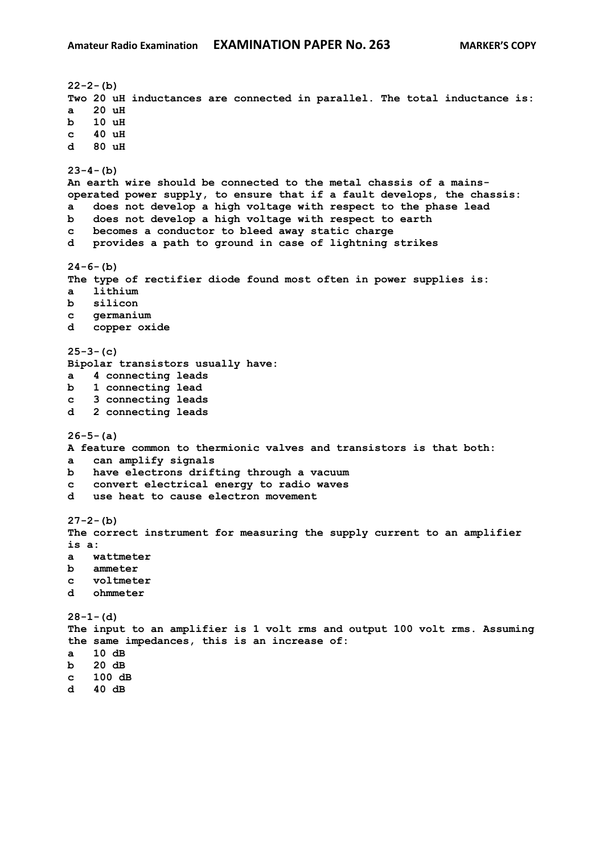**22-2-(b) Two 20 uH inductances are connected in parallel. The total inductance is: a 20 uH b 10 uH c 40 uH d 80 uH 23-4-(b) An earth wire should be connected to the metal chassis of a mainsoperated power supply, to ensure that if a fault develops, the chassis: a does not develop a high voltage with respect to the phase lead b does not develop a high voltage with respect to earth c becomes a conductor to bleed away static charge d provides a path to ground in case of lightning strikes 24-6-(b) The type of rectifier diode found most often in power supplies is: a lithium b silicon c germanium d copper oxide 25-3-(c) Bipolar transistors usually have: a 4 connecting leads b 1 connecting lead c 3 connecting leads d 2 connecting leads 26-5-(a) A feature common to thermionic valves and transistors is that both: a can amplify signals b have electrons drifting through a vacuum c convert electrical energy to radio waves d use heat to cause electron movement 27-2-(b) The correct instrument for measuring the supply current to an amplifier is a: a wattmeter b ammeter c voltmeter d ohmmeter 28-1-(d) The input to an amplifier is 1 volt rms and output 100 volt rms. Assuming the same impedances, this is an increase of: a 10 dB b 20 dB c 100 dB d 40 dB**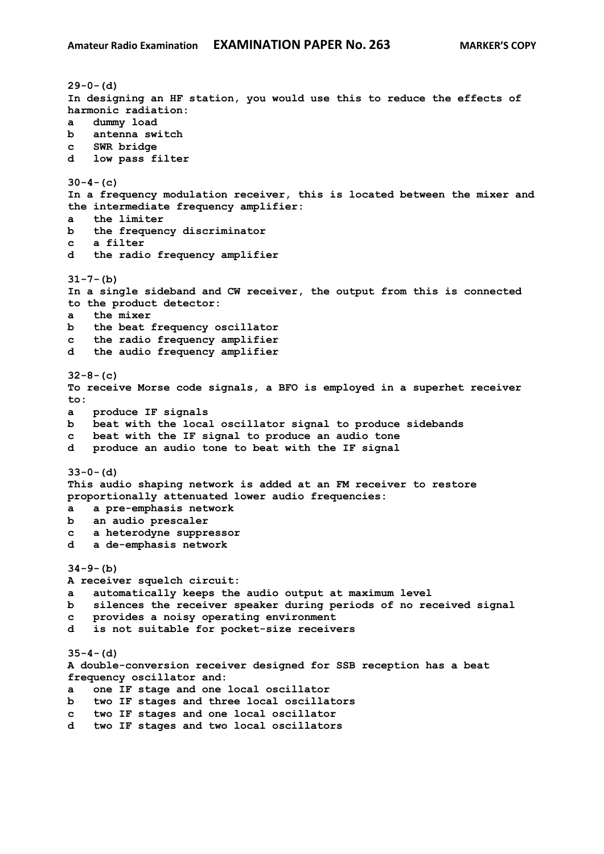**29-0-(d) In designing an HF station, you would use this to reduce the effects of harmonic radiation: a dummy load b antenna switch c SWR bridge d low pass filter 30-4-(c) In a frequency modulation receiver, this is located between the mixer and the intermediate frequency amplifier: a the limiter b the frequency discriminator c a filter d the radio frequency amplifier 31-7-(b) In a single sideband and CW receiver, the output from this is connected to the product detector: a the mixer b the beat frequency oscillator c the radio frequency amplifier d the audio frequency amplifier 32-8-(c) To receive Morse code signals, a BFO is employed in a superhet receiver to: a produce IF signals b beat with the local oscillator signal to produce sidebands c beat with the IF signal to produce an audio tone d produce an audio tone to beat with the IF signal 33-0-(d) This audio shaping network is added at an FM receiver to restore proportionally attenuated lower audio frequencies: a a pre-emphasis network b an audio prescaler c a heterodyne suppressor d a de-emphasis network 34-9-(b) A receiver squelch circuit: a automatically keeps the audio output at maximum level b silences the receiver speaker during periods of no received signal c provides a noisy operating environment d is not suitable for pocket-size receivers 35-4-(d) A double-conversion receiver designed for SSB reception has a beat frequency oscillator and: a one IF stage and one local oscillator b two IF stages and three local oscillators c two IF stages and one local oscillator d two IF stages and two local oscillators**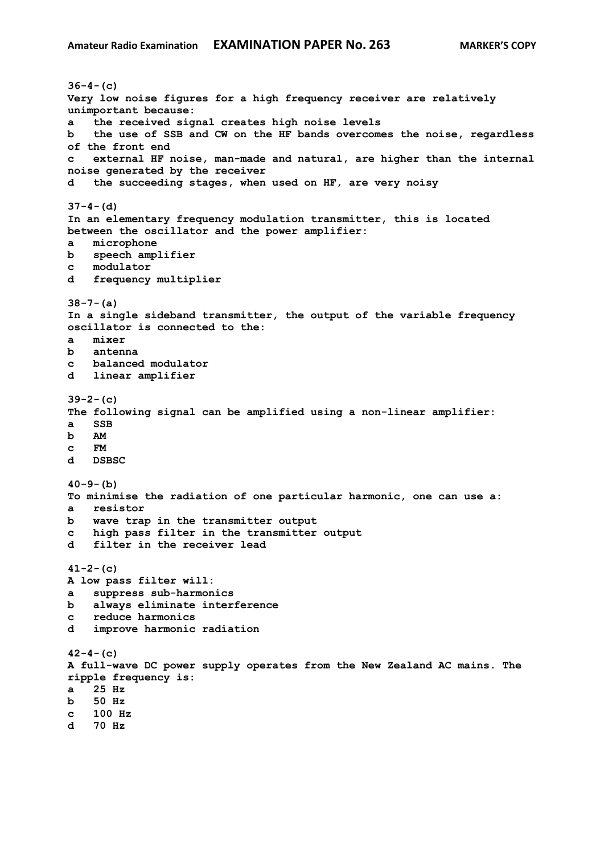**36-4-(c) Very low noise figures for a high frequency receiver are relatively unimportant because: a the received signal creates high noise levels b the use of SSB and CW on the HF bands overcomes the noise, regardless of the front end c external HF noise, man-made and natural, are higher than the internal noise generated by the receiver d the succeeding stages, when used on HF, are very noisy 37-4-(d) In an elementary frequency modulation transmitter, this is located between the oscillator and the power amplifier: a microphone b speech amplifier c modulator d frequency multiplier 38-7-(a) In a single sideband transmitter, the output of the variable frequency oscillator is connected to the: a mixer b antenna c balanced modulator d linear amplifier 39-2-(c) The following signal can be amplified using a non-linear amplifier: a SSB b AM c FM d DSBSC 40-9-(b) To minimise the radiation of one particular harmonic, one can use a: a resistor b wave trap in the transmitter output c high pass filter in the transmitter output d filter in the receiver lead 41-2-(c) A low pass filter will: a suppress sub-harmonics b always eliminate interference c reduce harmonics d improve harmonic radiation 42-4-(c) A full-wave DC power supply operates from the New Zealand AC mains. The ripple frequency is: a 25 Hz b 50 Hz c 100 Hz d 70 Hz**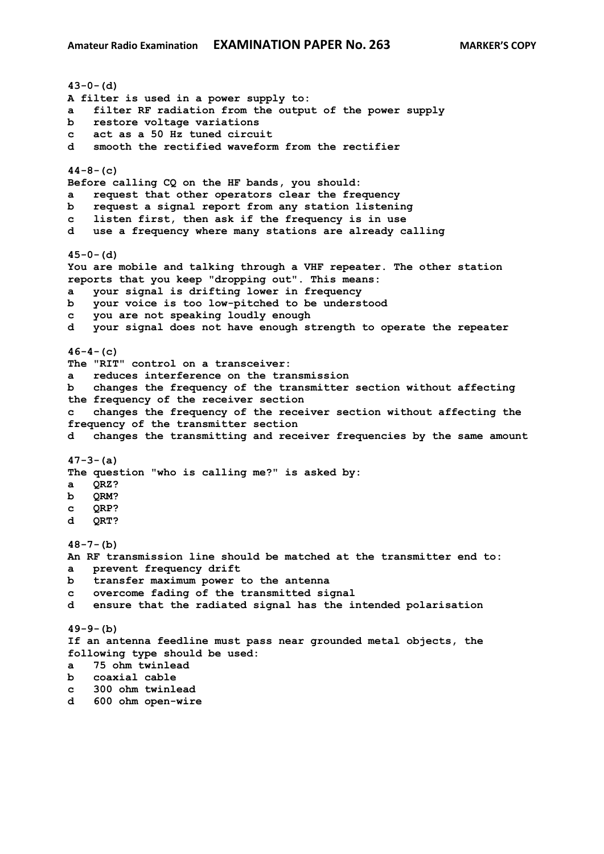**43-0-(d) A filter is used in a power supply to: a filter RF radiation from the output of the power supply b restore voltage variations c act as a 50 Hz tuned circuit d smooth the rectified waveform from the rectifier 44-8-(c) Before calling CQ on the HF bands, you should: a request that other operators clear the frequency b request a signal report from any station listening c listen first, then ask if the frequency is in use d use a frequency where many stations are already calling 45-0-(d) You are mobile and talking through a VHF repeater. The other station reports that you keep "dropping out". This means: a your signal is drifting lower in frequency b your voice is too low-pitched to be understood c you are not speaking loudly enough d your signal does not have enough strength to operate the repeater 46-4-(c) The "RIT" control on a transceiver: a reduces interference on the transmission b changes the frequency of the transmitter section without affecting the frequency of the receiver section c changes the frequency of the receiver section without affecting the frequency of the transmitter section d changes the transmitting and receiver frequencies by the same amount 47-3-(a) The question "who is calling me?" is asked by: a QRZ? b QRM? c QRP? d QRT? 48-7-(b) An RF transmission line should be matched at the transmitter end to: a prevent frequency drift b transfer maximum power to the antenna c overcome fading of the transmitted signal d ensure that the radiated signal has the intended polarisation 49-9-(b) If an antenna feedline must pass near grounded metal objects, the following type should be used: a 75 ohm twinlead b coaxial cable c 300 ohm twinlead d 600 ohm open-wire**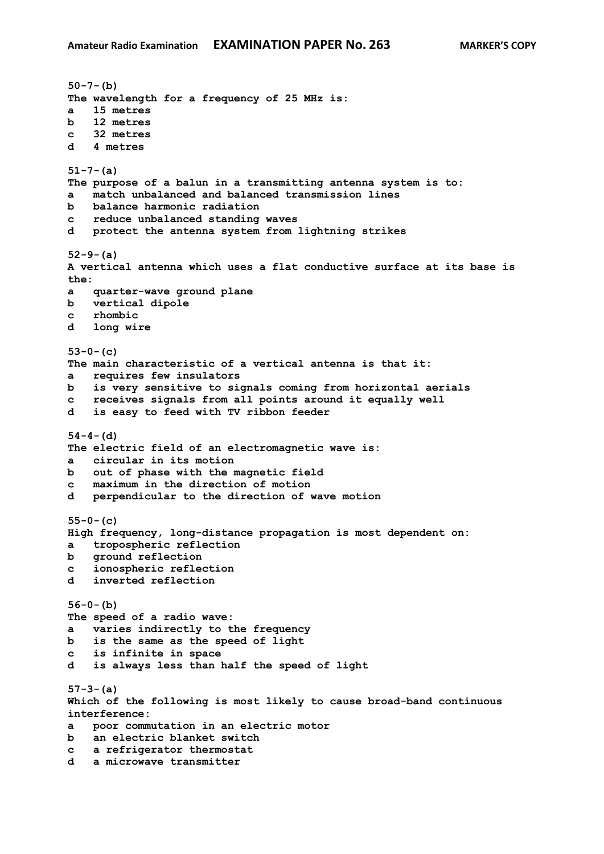**50-7-(b) The wavelength for a frequency of 25 MHz is: a 15 metres b 12 metres c 32 metres d 4 metres 51-7-(a) The purpose of a balun in a transmitting antenna system is to: a match unbalanced and balanced transmission lines b balance harmonic radiation c reduce unbalanced standing waves d protect the antenna system from lightning strikes 52-9-(a) A vertical antenna which uses a flat conductive surface at its base is the: a quarter-wave ground plane b vertical dipole c rhombic d long wire 53-0-(c) The main characteristic of a vertical antenna is that it: a requires few insulators b is very sensitive to signals coming from horizontal aerials c receives signals from all points around it equally well d is easy to feed with TV ribbon feeder 54-4-(d) The electric field of an electromagnetic wave is: a circular in its motion b out of phase with the magnetic field c maximum in the direction of motion d perpendicular to the direction of wave motion 55-0-(c) High frequency, long-distance propagation is most dependent on: a tropospheric reflection b ground reflection c ionospheric reflection d inverted reflection 56-0-(b) The speed of a radio wave: a varies indirectly to the frequency b is the same as the speed of light c is infinite in space d is always less than half the speed of light 57-3-(a) Which of the following is most likely to cause broad-band continuous interference: a poor commutation in an electric motor b an electric blanket switch c a refrigerator thermostat d a microwave transmitter**